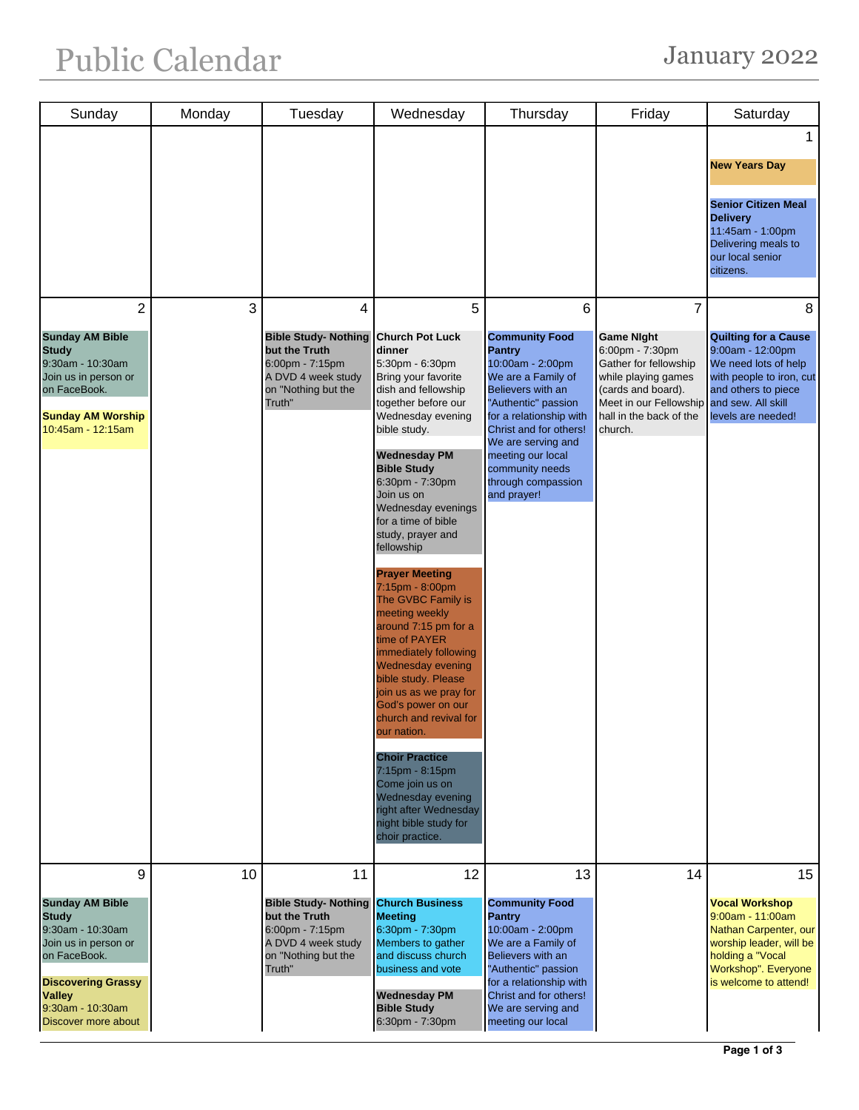| Sunday                                                                                                                                                                                           | Monday | Tuesday                                                                                                                            | Wednesday                                                                                                                                                                                                                                                                                                                                                                                                                                                                                                                                                                                                                                                                                                                                                                                   | Thursday                                                                                                                                                                                                                                                                                  | Friday                                                                                                                                                                                       | Saturday                                                                                                                                                                    |
|--------------------------------------------------------------------------------------------------------------------------------------------------------------------------------------------------|--------|------------------------------------------------------------------------------------------------------------------------------------|---------------------------------------------------------------------------------------------------------------------------------------------------------------------------------------------------------------------------------------------------------------------------------------------------------------------------------------------------------------------------------------------------------------------------------------------------------------------------------------------------------------------------------------------------------------------------------------------------------------------------------------------------------------------------------------------------------------------------------------------------------------------------------------------|-------------------------------------------------------------------------------------------------------------------------------------------------------------------------------------------------------------------------------------------------------------------------------------------|----------------------------------------------------------------------------------------------------------------------------------------------------------------------------------------------|-----------------------------------------------------------------------------------------------------------------------------------------------------------------------------|
|                                                                                                                                                                                                  |        |                                                                                                                                    |                                                                                                                                                                                                                                                                                                                                                                                                                                                                                                                                                                                                                                                                                                                                                                                             |                                                                                                                                                                                                                                                                                           |                                                                                                                                                                                              | 1<br><b>New Years Day</b><br><b>Senior Citizen Meal</b><br><b>Delivery</b><br>11:45am - 1:00pm<br>Delivering meals to<br>our local senior<br>citizens.                      |
| $\overline{2}$<br><b>Sunday AM Bible</b><br><b>Study</b><br>9:30am - 10:30am<br>Join us in person or<br>on FaceBook.<br><b>Sunday AM Worship</b><br>10:45am - 12:15am                            | 3      | 4<br><b>Bible Study- Nothing</b><br>but the Truth<br>$6:00$ pm - $7:15$ pm<br>A DVD 4 week study<br>on "Nothing but the<br>Truth"  | 5<br><b>Church Pot Luck</b><br>dinner<br>5:30pm - 6:30pm<br>Bring your favorite<br>dish and fellowship<br>together before our<br>Wednesday evening<br>bible study.<br><b>Wednesday PM</b><br><b>Bible Study</b><br>6:30pm - 7:30pm<br>Join us on<br>Wednesday evenings<br>for a time of bible<br>study, prayer and<br>fellowship<br><b>Prayer Meeting</b><br>7:15pm - 8:00pm<br>The GVBC Family is<br>meeting weekly<br>around 7:15 pm for a<br>time of PAYER<br>immediately following<br><b>Wednesday evening</b><br>bible study. Please<br>join us as we pray for<br>God's power on our<br>church and revival for<br>our nation.<br><b>Choir Practice</b><br>7:15pm - 8:15pm<br>Come join us on<br>Wednesday evening<br>right after Wednesday<br>night bible study for<br>choir practice. | 6<br><b>Community Food</b><br><b>Pantry</b><br>10:00am - 2:00pm<br>We are a Family of<br>Believers with an<br>"Authentic" passion<br>for a relationship with<br>Christ and for others!<br>We are serving and<br>meeting our local<br>community needs<br>through compassion<br>and prayer! | $\overline{7}$<br><b>Game Night</b><br>6:00pm - 7:30pm<br>Gather for fellowship<br>while playing games<br>(cards and board).<br>Meet in our Fellowship<br>hall in the back of the<br>church. | 8<br><b>Quilting for a Cause</b><br>9:00am - 12:00pm<br>We need lots of help<br>with people to iron, cut<br>and others to piece<br>and sew. All skill<br>levels are needed! |
| 9<br><b>Sunday AM Bible</b><br><b>Study</b><br>9:30am - 10:30am<br>Join us in person or<br>on FaceBook.<br><b>Discovering Grassy</b><br><b>Valley</b><br>9:30am - 10:30am<br>Discover more about | 10     | 11<br><b>Bible Study- Nothing</b><br>but the Truth<br>$6:00$ pm - $7:15$ pm<br>A DVD 4 week study<br>on "Nothing but the<br>Truth" | 12<br><b>Church Business</b><br><b>Meeting</b><br>6:30pm - 7:30pm<br>Members to gather<br>and discuss church<br>business and vote<br><b>Wednesday PM</b><br><b>Bible Study</b><br>6:30pm - 7:30pm                                                                                                                                                                                                                                                                                                                                                                                                                                                                                                                                                                                           | 13<br><b>Community Food</b><br><b>Pantry</b><br>10:00am - 2:00pm<br>We are a Family of<br>Believers with an<br>"Authentic" passion<br>for a relationship with<br>Christ and for others!<br>We are serving and<br>meeting our local                                                        | 14                                                                                                                                                                                           | 15<br><b>Vocal Workshop</b><br>$9:00$ am - 11:00am<br>Nathan Carpenter, our<br>worship leader, will be<br>holding a "Vocal<br>Workshop". Everyone<br>is welcome to attend!  |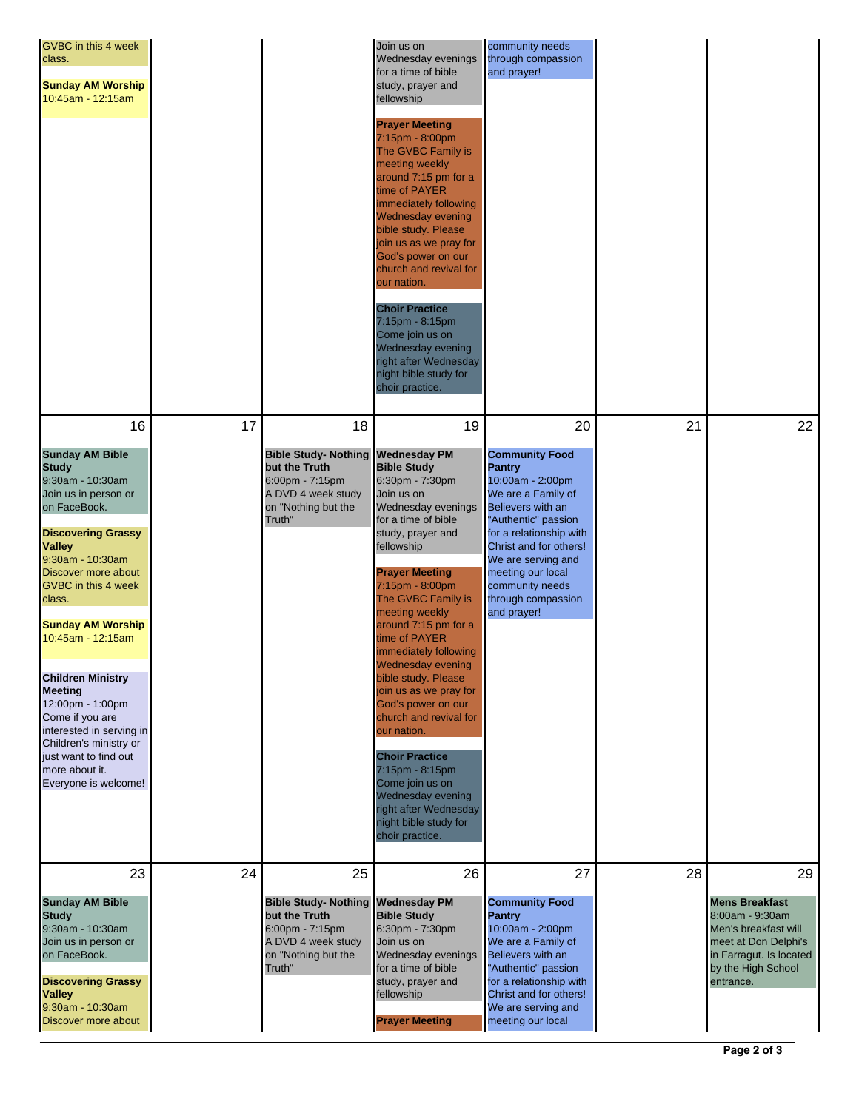| GVBC in this 4 week<br>class.<br><b>Sunday AM Worship</b><br>10:45am - 12:15am                                                                                                                                                                                                                                                                                                                                                                                                                           |    |                                                                                                                              | Join us on<br>Wednesday evenings<br>for a time of bible<br>study, prayer and<br>fellowship<br><b>Prayer Meeting</b><br>7:15pm - 8:00pm<br>The GVBC Family is<br>meeting weekly<br>around 7:15 pm for a<br>time of PAYER<br>immediately following<br><b>Wednesday evening</b><br>bible study. Please<br>join us as we pray for<br>God's power on our<br>church and revival for<br>our nation.<br><b>Choir Practice</b><br>7:15pm - 8:15pm<br>Come join us on<br>Wednesday evening<br>right after Wednesday<br>night bible study for<br>choir practice.                                                                       | community needs<br>through compassion<br>and prayer!                                                                                                                                                                                                                                       |    |                                                                                                                                                              |
|----------------------------------------------------------------------------------------------------------------------------------------------------------------------------------------------------------------------------------------------------------------------------------------------------------------------------------------------------------------------------------------------------------------------------------------------------------------------------------------------------------|----|------------------------------------------------------------------------------------------------------------------------------|-----------------------------------------------------------------------------------------------------------------------------------------------------------------------------------------------------------------------------------------------------------------------------------------------------------------------------------------------------------------------------------------------------------------------------------------------------------------------------------------------------------------------------------------------------------------------------------------------------------------------------|--------------------------------------------------------------------------------------------------------------------------------------------------------------------------------------------------------------------------------------------------------------------------------------------|----|--------------------------------------------------------------------------------------------------------------------------------------------------------------|
| 16<br><b>Sunday AM Bible</b><br><b>Study</b><br>9:30am - 10:30am<br>Join us in person or<br>on FaceBook.<br><b>Discovering Grassy</b><br><b>Valley</b><br>9:30am - 10:30am<br>Discover more about<br><b>GVBC</b> in this 4 week<br>class.<br><b>Sunday AM Worship</b><br>10:45am - 12:15am<br><b>Children Ministry</b><br><b>Meeting</b><br>12:00pm - 1:00pm<br>Come if you are<br>interested in serving in<br>Children's ministry or<br>just want to find out<br>more about it.<br>Everyone is welcome! | 17 | 18<br><b>Bible Study-Nothing</b><br>but the Truth<br>6:00pm - 7:15pm<br>A DVD 4 week study<br>on "Nothing but the<br>Truth"  | 19<br><b>Wednesday PM</b><br><b>Bible Study</b><br>6:30pm - 7:30pm<br>Join us on<br>Wednesday evenings<br>for a time of bible<br>study, prayer and<br>fellowship<br><b>Prayer Meeting</b><br>7:15pm - 8:00pm<br>The GVBC Family is<br>meeting weekly<br>around 7:15 pm for a<br>time of PAYER<br>immediately following<br><b>Wednesday evening</b><br>bible study. Please<br>join us as we pray for<br>God's power on our<br>church and revival for<br>our nation.<br><b>Choir Practice</b><br>7:15pm - 8:15pm<br>Come join us on<br>Wednesday evening<br>right after Wednesday<br>night bible study for<br>choir practice. | 20<br><b>Community Food</b><br><b>Pantry</b><br>10:00am - 2:00pm<br>We are a Family of<br>Believers with an<br>"Authentic" passion<br>for a relationship with<br>Christ and for others!<br>We are serving and<br>meeting our local<br>community needs<br>through compassion<br>and prayer! | 21 | 22                                                                                                                                                           |
| 23<br><b>Sunday AM Bible</b><br><b>Study</b><br>9:30am - 10:30am<br>Join us in person or<br>on FaceBook.<br><b>Discovering Grassy</b><br><b>Valley</b><br>9:30am - 10:30am<br>Discover more about                                                                                                                                                                                                                                                                                                        | 24 | 25<br><b>Bible Study- Nothing</b><br>but the Truth<br>6:00pm - 7:15pm<br>A DVD 4 week study<br>on "Nothing but the<br>Truth" | 26<br>Wednesday PM<br><b>Bible Study</b><br>6:30pm - 7:30pm<br>Join us on<br>Wednesday evenings<br>for a time of bible<br>study, prayer and<br>fellowship<br><b>Prayer Meeting</b>                                                                                                                                                                                                                                                                                                                                                                                                                                          | 27<br><b>Community Food</b><br><b>Pantry</b><br>10:00am - 2:00pm<br>We are a Family of<br>Believers with an<br>"Authentic" passion<br>for a relationship with<br>Christ and for others!<br>We are serving and<br>meeting our local                                                         | 28 | 29<br><b>Mens Breakfast</b><br>8:00am - 9:30am<br>Men's breakfast will<br>meet at Don Delphi's<br>in Farragut. Is located<br>by the High School<br>entrance. |